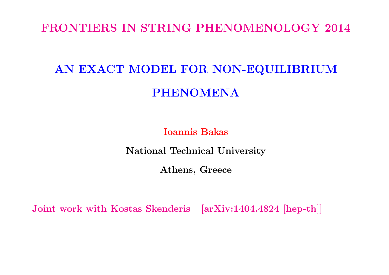#### FRONTIERS IN STRING PHENOMENOLOGY 2014

# AN EXACT MODEL FOR NON-EQUILIBRIUM PHENOMENA

Ioannis Bakas

National Technical University

Athens, Greece

Joint work with Kostas Skenderis [arXiv:1404.4824 [hep-th]]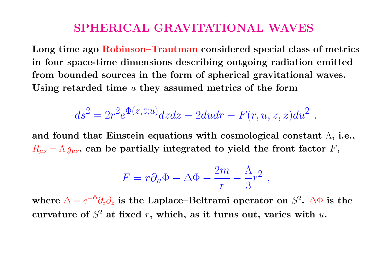## SPHERICAL GRAVITATIONAL WAVES

Long time ago Robinson–Trautman considered special class of metrics in four space-time dimensions describing outgoing radiation emitted from bounded sources in the form of spherical gravitational waves. Using retarded time  $u$  they assumed metrics of the form

$$
ds^2 = 2r^2 e^{\Phi(z,\bar{z};u)} dz d\bar{z} - 2du dr - F(r,u,z,\bar{z}) du^2.
$$

and found that Einstein equations with cosmological constant  $\Lambda$ , i.e.,  $R_{\mu\nu} = \Lambda g_{\mu\nu}$ , can be partially integrated to yield the front factor F,

$$
F = r \partial_u \Phi - \Delta \Phi - \frac{2m}{r} - \frac{\Lambda}{3} r^2 ,
$$

where  $\Delta = e^{-\Phi} \partial_z \partial_{\bar{z}}$  is the Laplace–Beltrami operator on  $S^2$ .  $\Delta \Phi$  is the curvature of  $S^2$  at fixed r, which, as it turns out, varies with  $u$ .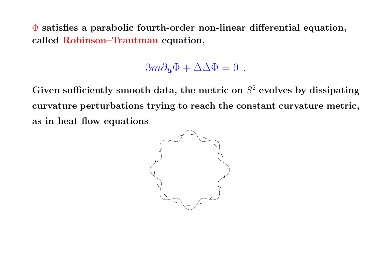$\Phi$  satisfies a parabolic fourth-order non-linear differential equation, called Robinson–Trautman equation,

### $3m\partial_{\mu}\Phi + \Delta\Delta\Phi = 0$ .

Given sufficiently smooth data, the metric on  $S^2$  evolves by dissipating curvature perturbations trying to reach the constant curvature metric, as in heat flow equations

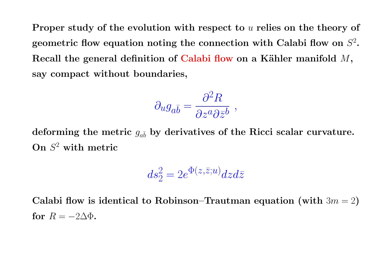Proper study of the evolution with respect to u relies on the theory of geometric flow equation noting the connection with Calabi flow on  $S^2$ . Recall the general definition of Calabi flow on a Kähler manifold  $M$ , say compact without boundaries,

$$
\partial_u g_{a\bar{b}} = \frac{\partial^2 R}{\partial z^a \partial \bar{z}^b} ,
$$

deforming the metric  $g_{a\bar b}$  by derivatives of the Ricci scalar curvature. On S <sup>2</sup> with metric

$$
ds_2^2 = 2e^{\Phi(z,\bar{z};u)}dzd\bar{z}
$$

Calabi flow is identical to Robinson–Trautman equation (with  $3m = 2$ ) for  $R = -2\Delta\Phi$ .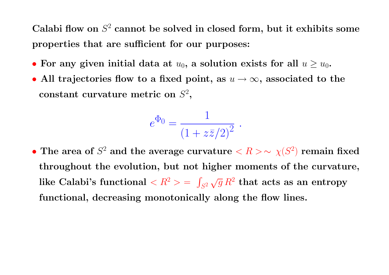Calabi flow on  $S^2$  cannot be solved in closed form, but it exhibits some properties that are sufficient for our purposes:

- For any given initial data at  $u_0$ , a solution exists for all  $u \geq u_0$ .
- All trajectories flow to a fixed point, as  $u \to \infty$ , associated to the constant curvature metric on  $S^2$ ,

$$
e^{\Phi_0} = \frac{1}{(1 + z\bar{z}/2)^2} \; .
$$

• The area of  $S^2$  and the average curvature  $\langle R \rangle \sim \chi(S^2)$  remain fixed throughout the evolution, but not higher moments of the curvature, like Calabi's functional  $< R^2 >$  = R  $\int_{S^2} \sqrt{g} \, R^2 \,\, \mathrm{that} \,\, \mathrm{acts} \,\, \mathrm{as} \,\, \mathrm{an} \,\, \mathrm{entropy}$ functional, decreasing monotonically along the flow lines.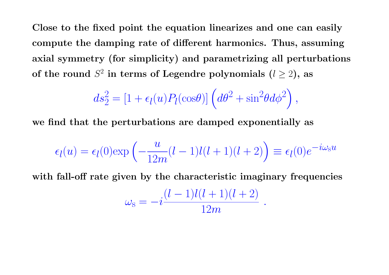Close to the fixed point the equation linearizes and one can easily compute the damping rate of different harmonics. Thus, assuming axial symmetry (for simplicity) and parametrizing all perturbations of the round  $S^2$  in terms of Legendre polynomials  $(l \ge 2)$ , as

$$
ds_2^2 = \left[1 + \epsilon_l(u)P_l(\cos\theta)\right] \left(d\theta^2 + \sin^2\theta d\phi^2\right),
$$

we find that the perturbations are damped exponentially as

$$
\epsilon_l(u) = \epsilon_l(0) \exp\left(-\frac{u}{12m}(l-1)l(l+1)(l+2)\right) \equiv \epsilon_l(0)e^{-i\omega_s u}
$$

with fall-off rate given by the characteristic imaginary frequencies

$$
\omega_{\rm s} = -i \frac{(l-1)l(l+1)(l+2)}{12m} \ .
$$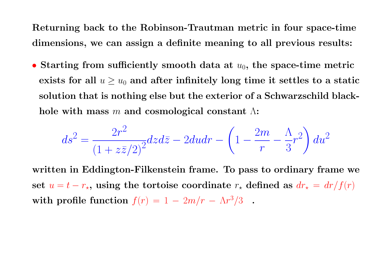Returning back to the Robinson-Trautman metric in four space-time dimensions, we can assign a definite meaning to all previous results:

• Starting from sufficiently smooth data at  $u_0$ , the space-time metric exists for all  $u \geq u_0$  and after infinitely long time it settles to a static solution that is nothing else but the exterior of a Schwarzschild blackhole with mass m and cosmological constant  $\Lambda$ :

$$
ds^{2} = \frac{2r^{2}}{\left(1 + z\overline{z}/2\right)^{2}} dz d\overline{z} - 2du dr - \left(1 - \frac{2m}{r} - \frac{\Lambda}{3}r^{2}\right) du^{2}
$$

written in Eddington-Filkenstein frame. To pass to ordinary frame we set  $u = t - r_{\star}$ , using the tortoise coordinate  $r_{\star}$  defined as  $dr_{\star} = dr/f(r)$ with profile function  $f(r) = 1 - 2m/r - \Lambda r^3/3$ .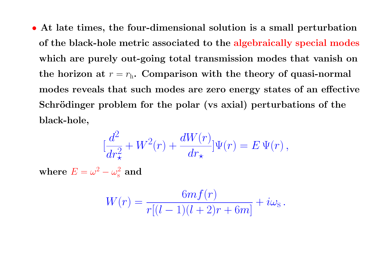• At late times, the four-dimensional solution is a small perturbation of the black-hole metric associated to the algebraically special modes which are purely out-going total transmission modes that vanish on the horizon at  $r = r<sub>h</sub>$ . Comparison with the theory of quasi-normal modes reveals that such modes are zero energy states of an effective Schrödinger problem for the polar (vs axial) perturbations of the black-hole,

$$
[\frac{d^2}{dr_{\star}^2}+W^2(r)+\frac{dW(r)}{dr_{\star}}]\Psi(r)=E\,\Psi(r)\,,
$$

where  $E=\omega^2-\omega_{\rm s}^2$  and

$$
W(r)=\frac{6mf(r)}{r[(l-1)(l+2)r+6m]}+i\omega_{\rm S}\,.
$$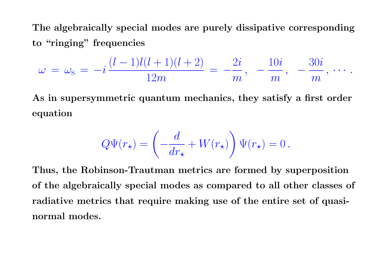The algebraically special modes are purely dissipative corresponding to "ringing" frequencies

$$
\omega\,=\,\omega_{\rm s}\,=\,-i\,\frac{(l-1)l(l+1)(l+2)}{12m}\,=\,-\frac{2i}{m}\,,\ \, -\frac{10i}{m}\,,\ \, -\frac{30i}{m}\,,\,\cdots\,.
$$

As in supersymmetric quantum mechanics, they satisfy a first order equation

$$
Q\Psi(r_{\star})=\left(-\frac{d}{dr_{\star}}+W(r_{\star})\right)\Psi(r_{\star})=0\,.
$$

Thus, the Robinson-Trautman metrics are formed by superposition of the algebraically special modes as compared to all other classes of radiative metrics that require making use of the entire set of quasinormal modes.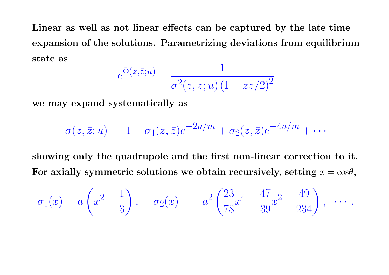Linear as well as not linear effects can be captured by the late time expansion of the solutions. Parametrizing deviations from equilibrium state as  $\overline{1}$ 

$$
e^{\Phi(z,\bar{z};u)} = \frac{1}{\sigma^2(z,\bar{z};u)(1+z\bar{z}/2)^2}
$$

we may expand systematically as

$$
\sigma(z,\bar{z};u) = 1 + \sigma_1(z,\bar{z})e^{-2u/m} + \sigma_2(z,\bar{z})e^{-4u/m} + \cdots
$$

showing only the quadrupole and the first non-linear correction to it. For axially symmetric solutions we obtain recursively, setting  $x = \cos\theta$ ,

$$
\sigma_1(x) = a\left(x^2 - \frac{1}{3}\right), \quad \sigma_2(x) = -a^2\left(\frac{23}{78}x^4 - \frac{47}{39}x^2 + \frac{49}{234}\right), \quad \cdots
$$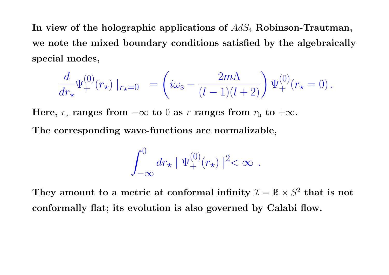In view of the holographic applications of  $AdS_4$  Robinson-Trautman, we note the mixed boundary conditions satisfied by the algebraically special modes,

$$
\frac{d}{dr_{\star}}\Psi^{(0)}_+(r_{\star})\mid_{r_{\star}=0} \ = \left(i\omega_{\rm S} - \frac{2m\Lambda}{(l-1)(l+2)}\right)\Psi^{(0)}_+(r_{\star}=0)\ .
$$

Here,  $r_{\star}$  ranges from  $-\infty$  to 0 as r ranges from  $r_{h}$  to  $+\infty$ .

The corresponding wave-functions are normalizable,

$$
\int_{-\infty}^0 dr_\star \mid \Psi_+^{(0)}(r_\star) \mid ^2 < \infty \ .
$$

They amount to a metric at conformal infinity  $\mathcal{I} = \mathbb{R} \times S^2$  that is not conformally flat; its evolution is also governed by Calabi flow.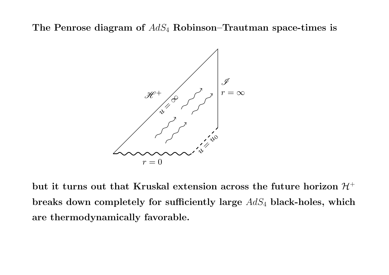The Penrose diagram of  $AdS_4$  Robinson–Trautman space-times is



but it turns out that Kruskal extension across the future horizon  $\mathcal{H}^+$ breaks down completely for sufficiently large  $AdS_4$  black-holes, which are thermodynamically favorable.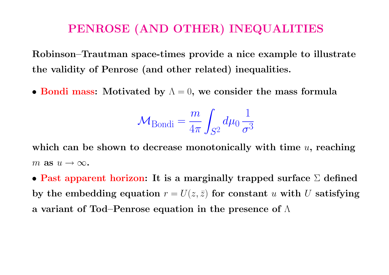# PENROSE (AND OTHER) INEQUALITIES

Robinson–Trautman space-times provide a nice example to illustrate the validity of Penrose (and other related) inequalities.

• Bondi mass: Motivated by  $\Lambda = 0$ , we consider the mass formula

$$
\mathcal{M}_{\text{Bondi}} = \frac{m}{4\pi} \int_{S^2} d\mu_0 \frac{1}{\sigma^3}
$$

which can be shown to decrease monotonically with time  $u$ , reaching m as  $u \to \infty$ .

• Past apparent horizon: It is a marginally trapped surface  $\Sigma$  defined by the embedding equation  $r = U(z, \bar{z})$  for constant u with U satisfying a variant of Tod–Penrose equation in the presence of Λ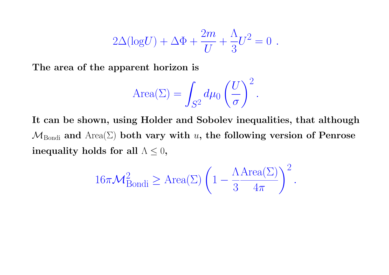$$
2\Delta(\text{log}U) + \Delta\Phi + \frac{2m}{U} + \frac{\Lambda}{3}U^2 = 0.
$$

The area of the apparent horizon is

Area(
$$
\Sigma
$$
) =  $\int_{S^2} d\mu_0 \left(\frac{U}{\sigma}\right)^2$ .

It can be shown, using Holder and Sobolev inequalities, that although  $M_{\text{Bondi}}$  and  $\text{Area}(\Sigma)$  both vary with u, the following version of Penrose inequality holds for all  $\Lambda \leq 0$ ,

$$
16\pi \mathcal{M}_{\rm Bondi}^2 \ge \text{Area}(\Sigma) \left(1 - \frac{\Lambda \text{Area}(\Sigma)}{3 - 4\pi}\right)^2.
$$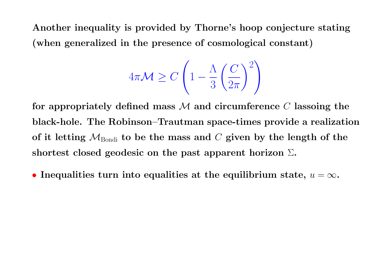Another inequality is provided by Thorne's hoop conjecture stating (when generalized in the presence of cosmological constant)

$$
4\pi \mathcal{M} \ge C \left( 1 - \frac{\Lambda}{3} \left( \frac{C}{2\pi} \right)^2 \right)
$$

for appropriately defined mass  $M$  and circumference C lassoing the black-hole. The Robinson–Trautman space-times provide a realization of it letting  $\mathcal{M}_{Bondi}$  to be the mass and C given by the length of the shortest closed geodesic on the past apparent horizon  $\Sigma$ .

• Inequalities turn into equalities at the equilibrium state,  $u = \infty$ .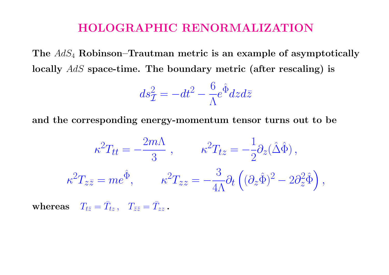#### HOLOGRAPHIC RENORMALIZATION

The  $AdS_4$  Robinson–Trautman metric is an example of asymptotically locally  $AdS$  space-time. The boundary metric (after rescaling) is

$$
ds^2_{\mathcal{I}} = -dt^2 - \frac{6}{\Lambda}e^{\hat{\Phi}}dzd\bar{z}
$$

and the corresponding energy-momentum tensor turns out to be

$$
\kappa^2 T_{tt} = -\frac{2m\Lambda}{3} , \qquad \kappa^2 T_{tz} = -\frac{1}{2} \partial_z (\hat{\Delta} \hat{\Phi}) ,
$$

$$
\kappa^2 T_{z\bar{z}} = me^{\hat{\Phi}}, \qquad \kappa^2 T_{zz} = -\frac{3}{4\Lambda} \partial_t \left( (\partial_z \hat{\Phi})^2 - 2\partial_z^2 \hat{\Phi} \right),
$$

 $\textbf{whereas} \quad T_{t \bar z} = \bar T_{t z} \, , \quad T_{\bar z \bar z} = \bar T_{z z} \, .$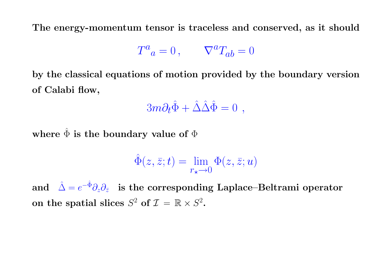The energy-momentum tensor is traceless and conserved, as it should

$$
T^a{}_a = 0 \,, \qquad \nabla^a T_{ab} = 0
$$

by the classical equations of motion provided by the boundary version of Calabi flow,

$$
3m\partial_t\hat{\Phi} + \hat{\Delta}\hat{\Delta}\hat{\Phi} = 0 \ ,
$$

where  $\hat{\Phi}$  is the boundary value of  $\Phi$ 

$$
\hat{\Phi}(z,\bar{z};t) = \lim_{r_{\star} \to 0} \Phi(z,\bar{z};u)
$$

and  $\hat{\Delta}=e^{-\hat{\Phi}}\partial_z\partial_{\bar{z}}\;\;$  is the corresponding Laplace–Beltrami operator on the spatial slices  $S^2$  of  $\mathcal{I} = \mathbb{R} \times S^2$ .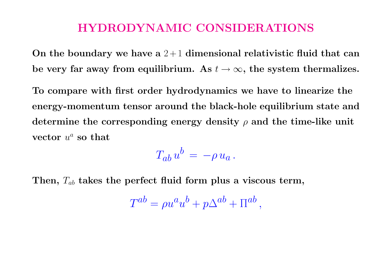### HYDRODYNAMIC CONSIDERATIONS

On the boundary we have a  $2+1$  dimensional relativistic fluid that can be very far away from equilibrium. As  $t \to \infty$ , the system thermalizes.

To compare with first order hydrodynamics we have to linearize the energy-momentum tensor around the black-hole equilibrium state and determine the corresponding energy density  $\rho$  and the time-like unit vector  $u^a$  so that

$$
T_{ab}u^b\,=\,-\rho\,u_a\,.
$$

Then,  $T_{ab}$  takes the perfect fluid form plus a viscous term,

$$
T^{ab} = \rho u^a u^b + p \Delta^{ab} + \Pi^{ab},
$$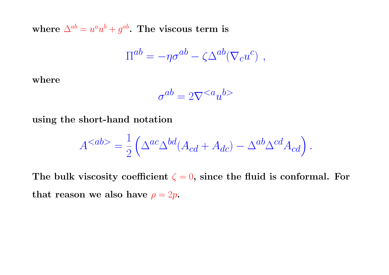where  $\Delta^{ab} = u^a u^b + g^{ab}$ . The viscous term is

$$
\Pi^{ab} = -\eta \sigma^{ab} - \zeta \Delta^{ab} (\nabla_c u^c) ,
$$

where

$$
\sigma^{ab} = 2\nabla^{}
$$

using the short-hand notation

$$
A^{} = \frac{1}{2} \left( \Delta^{ac} \Delta^{bd} (A_{cd} + A_{dc}) - \Delta^{ab} \Delta^{cd} A_{cd} \right).
$$

The bulk viscosity coefficient  $\zeta = 0$ , since the fluid is conformal. For that reason we also have  $\rho = 2p$ .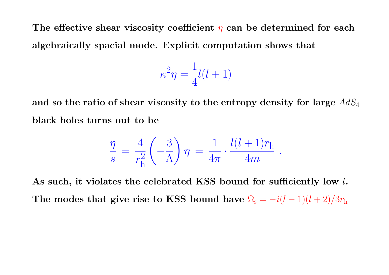The effective shear viscosity coefficient  $\eta$  can be determined for each algebraically spacial mode. Explicit computation shows that

$$
\kappa^2 \eta = \frac{1}{4}l(l+1)
$$

and so the ratio of shear viscosity to the entropy density for large  $AdS_4$ black holes turns out to be

$$
\frac{\eta}{s} = \frac{4}{r_{\rm h}^2} \left( -\frac{3}{\Lambda} \right) \eta = \frac{1}{4\pi} \cdot \frac{l(l+1)r_{\rm h}}{4m} \ .
$$

As such, it violates the celebrated KSS bound for sufficiently low l. The modes that give rise to KSS bound have  $\Omega_s = -i(l-1)(l+2)/3r_h$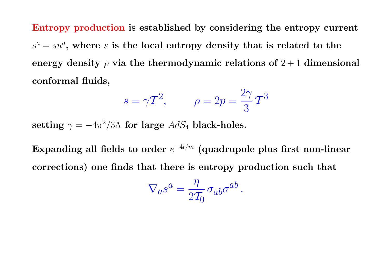Entropy production is established by considering the entropy current  $s^a = su^a$ , where s is the local entropy density that is related to the energy density  $\rho$  via the thermodynamic relations of  $2+1$  dimensional conformal fluids,

$$
s = \gamma \mathcal{T}^2, \qquad \rho = 2p = \frac{2\gamma}{3} \mathcal{T}^3
$$

setting  $\gamma = -4\pi^2/3\Lambda$  for large  $AdS_4$  black-holes.

Expanding all fields to order  $e^{-4t/m}$  (quadrupole plus first non-linear corrections) one finds that there is entropy production such that

$$
\nabla_a s^a = \frac{\eta}{2\mathcal{T}_0} \sigma_{ab} \sigma^{ab}.
$$